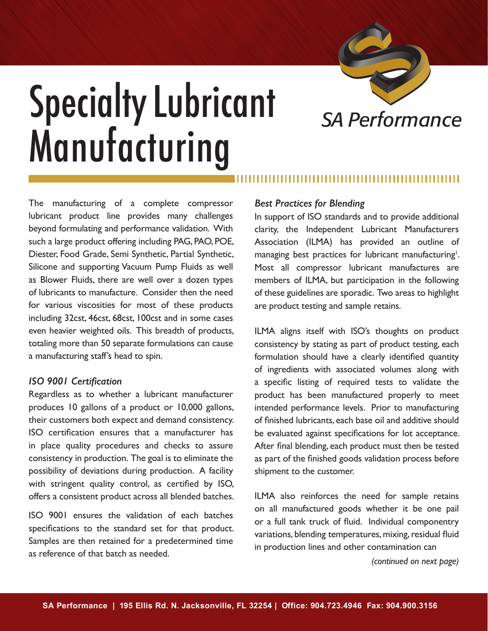

# **Specialty Lubricant** SA Performance **Manufacturing**

The manufacturing of a complete compressor lubricant product line provides many challenges beyond formulating and performance validation. With such a large product offering including PAG, PAO, POE, Diester, Food Grade, Semi Synthetic, Partial Synthetic, Silicone and supporting Vacuum Pump Fluids as well as Blower Fluids, there are well over a dozen types of lubricants to manufacture. Consider then the need for various viscosities for most of these products including 32cst, 46cst, 68cst, 100cst and in some cases even heavier weighted oils. This breadth of products, totaling more than 50 separate formulations can cause a manufacturing staff's head to spin.

## *ISO 9001 Certification*

Regardless as to whether a lubricant manufacturer produces 10 gallons of a product or 10,000 gallons, their customers both expect and demand consistency. ISO certification ensures that a manufacturer has in place quality procedures and checks to assure consistency in production. The goal is to eliminate the possibility of deviations during production. A facility with stringent quality control, as certified by ISO, offers a consistent product across all blended batches.

ISO 9001 ensures the validation of each batches specifications to the standard set for that product. Samples are then retained for a predetermined time as reference of that batch as needed.

### *Best Practices for Blending*

In support of ISO standards and to provide additional clarity, the Independent Lubricant Manufacturers Association (ILMA) has provided an outline of managing best practices for lubricant manufacturing<sup>1</sup>. Most all compressor lubricant manufactures are members of ILMA, but participation in the following of these guidelines are sporadic. Two areas to highlight are product testing and sample retains.

ILMA aligns itself with ISO's thoughts on product consistency by stating as part of product testing, each formulation should have a clearly identified quantity of ingredients with associated volumes along with a specific listing of required tests to validate the product has been manufactured properly to meet intended performance levels. Prior to manufacturing of finished lubricants, each base oil and additive should be evaluated against specifications for lot acceptance. After final blending, each product must then be tested as part of the finished goods validation process before shipment to the customer.

ILMA also reinforces the need for sample retains on all manufactured goods whether it be one pail or a full tank truck of fluid. Individual componentry variations, blending temperatures, mixing, residual fluid in production lines and other contamination can

*(continued on next page)*